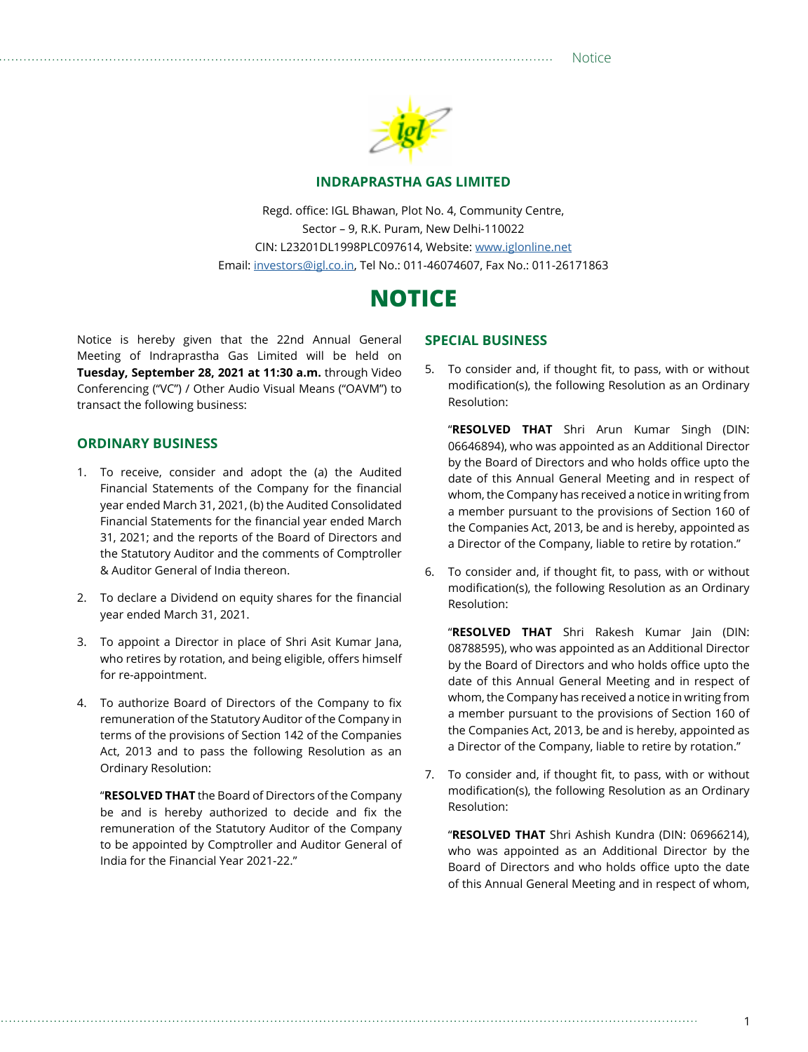Notice



#### **INDRAPRASTHA GAS LIMITED**

Regd. office: IGL Bhawan, Plot No. 4, Community Centre, Sector – 9, R.K. Puram, New Delhi-110022 CIN: L23201DL1998PLC097614, Website: [www.iglonline.net](http://www.iglonline.net) Email: [investors@igl.co.in](mailto:investors@igl.co.in), Tel No.: 011-46074607, Fax No.: 011-26171863

# **NOTICE**

Notice is hereby given that the 22nd Annual General Meeting of Indraprastha Gas Limited will be held on **Tuesday, September 28, 2021 at 11:30 a.m.** through Video Conferencing ("VC") / Other Audio Visual Means ("OAVM") to transact the following business:

#### **ORDINARY BUSINESS**

- 1. To receive, consider and adopt the (a) the Audited Financial Statements of the Company for the financial year ended March 31, 2021, (b) the Audited Consolidated Financial Statements for the financial year ended March 31, 2021; and the reports of the Board of Directors and the Statutory Auditor and the comments of Comptroller & Auditor General of India thereon.
- 2. To declare a Dividend on equity shares for the financial year ended March 31, 2021.
- 3. To appoint a Director in place of Shri Asit Kumar Jana, who retires by rotation, and being eligible, offers himself for re-appointment.
- 4. To authorize Board of Directors of the Company to fix remuneration of the Statutory Auditor of the Company in terms of the provisions of Section 142 of the Companies Act, 2013 and to pass the following Resolution as an Ordinary Resolution:

"**RESOLVED THAT** the Board of Directors of the Company be and is hereby authorized to decide and fix the remuneration of the Statutory Auditor of the Company to be appointed by Comptroller and Auditor General of India for the Financial Year 2021-22."

#### **SPECIAL BUSINESS**

5. To consider and, if thought fit, to pass, with or without modification(s), the following Resolution as an Ordinary Resolution:

"**RESOLVED THAT** Shri Arun Kumar Singh (DIN: 06646894), who was appointed as an Additional Director by the Board of Directors and who holds office upto the date of this Annual General Meeting and in respect of whom, the Company has received a notice in writing from a member pursuant to the provisions of Section 160 of the Companies Act, 2013, be and is hereby, appointed as a Director of the Company, liable to retire by rotation."

6. To consider and, if thought fit, to pass, with or without modification(s), the following Resolution as an Ordinary Resolution:

"**RESOLVED THAT** Shri Rakesh Kumar Jain (DIN: 08788595), who was appointed as an Additional Director by the Board of Directors and who holds office upto the date of this Annual General Meeting and in respect of whom, the Company has received a notice in writing from a member pursuant to the provisions of Section 160 of the Companies Act, 2013, be and is hereby, appointed as a Director of the Company, liable to retire by rotation."

7. To consider and, if thought fit, to pass, with or without modification(s), the following Resolution as an Ordinary Resolution:

"**RESOLVED THAT** Shri Ashish Kundra (DIN: 06966214), who was appointed as an Additional Director by the Board of Directors and who holds office upto the date of this Annual General Meeting and in respect of whom,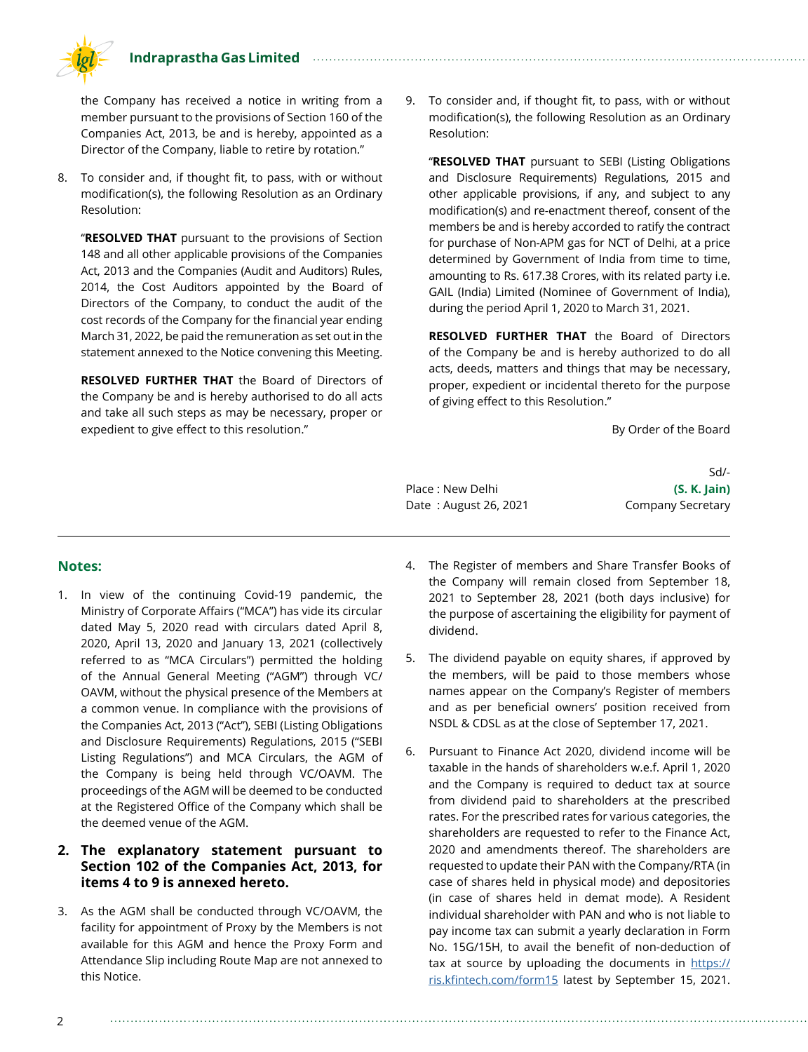#### **Indraprastha Gas Limited**



the Company has received a notice in writing from a member pursuant to the provisions of Section 160 of the Companies Act, 2013, be and is hereby, appointed as a Director of the Company, liable to retire by rotation."

8. To consider and, if thought fit, to pass, with or without modification(s), the following Resolution as an Ordinary Resolution:

"**RESOLVED THAT** pursuant to the provisions of Section 148 and all other applicable provisions of the Companies Act, 2013 and the Companies (Audit and Auditors) Rules, 2014, the Cost Auditors appointed by the Board of Directors of the Company, to conduct the audit of the cost records of the Company for the financial year ending March 31, 2022, be paid the remuneration as set out in the statement annexed to the Notice convening this Meeting.

**RESOLVED FURTHER THAT** the Board of Directors of the Company be and is hereby authorised to do all acts and take all such steps as may be necessary, proper or expedient to give effect to this resolution."

9. To consider and, if thought fit, to pass, with or without modification(s), the following Resolution as an Ordinary Resolution:

"**RESOLVED THAT** pursuant to SEBI (Listing Obligations and Disclosure Requirements) Regulations, 2015 and other applicable provisions, if any, and subject to any modification(s) and re-enactment thereof, consent of the members be and is hereby accorded to ratify the contract for purchase of Non-APM gas for NCT of Delhi, at a price determined by Government of India from time to time, amounting to Rs. 617.38 Crores, with its related party i.e. GAIL (India) Limited (Nominee of Government of India), during the period April 1, 2020 to March 31, 2021.

**RESOLVED FURTHER THAT** the Board of Directors of the Company be and is hereby authorized to do all acts, deeds, matters and things that may be necessary, proper, expedient or incidental thereto for the purpose of giving effect to this Resolution."

By Order of the Board

Place : New Delhi **(S. K. Jain)** Date: August 26, 2021 Company Secretary

Sd/-

#### **Notes:**

1. In view of the continuing Covid-19 pandemic, the Ministry of Corporate Affairs ("MCA") has vide its circular dated May 5, 2020 read with circulars dated April 8, 2020, April 13, 2020 and January 13, 2021 (collectively referred to as "MCA Circulars") permitted the holding of the Annual General Meeting ("AGM") through VC/ OAVM, without the physical presence of the Members at a common venue. In compliance with the provisions of the Companies Act, 2013 ("Act"), SEBI (Listing Obligations and Disclosure Requirements) Regulations, 2015 ("SEBI Listing Regulations") and MCA Circulars, the AGM of the Company is being held through VC/OAVM. The proceedings of the AGM will be deemed to be conducted at the Registered Office of the Company which shall be the deemed venue of the AGM.

#### **2. The explanatory statement pursuant to Section 102 of the Companies Act, 2013, for items 4 to 9 is annexed hereto.**

3. As the AGM shall be conducted through VC/OAVM, the facility for appointment of Proxy by the Members is not available for this AGM and hence the Proxy Form and Attendance Slip including Route Map are not annexed to this Notice.

- 4. The Register of members and Share Transfer Books of the Company will remain closed from September 18, 2021 to September 28, 2021 (both days inclusive) for the purpose of ascertaining the eligibility for payment of dividend.
- 5. The dividend payable on equity shares, if approved by the members, will be paid to those members whose names appear on the Company's Register of members and as per beneficial owners' position received from NSDL & CDSL as at the close of September 17, 2021.
- 6. Pursuant to Finance Act 2020, dividend income will be taxable in the hands of shareholders w.e.f. April 1, 2020 and the Company is required to deduct tax at source from dividend paid to shareholders at the prescribed rates. For the prescribed rates for various categories, the shareholders are requested to refer to the Finance Act, 2020 and amendments thereof. The shareholders are requested to update their PAN with the Company/RTA (in case of shares held in physical mode) and depositories (in case of shares held in demat mode). A Resident individual shareholder with PAN and who is not liable to pay income tax can submit a yearly declaration in Form No. 15G/15H, to avail the benefit of non-deduction of tax at source by uploading the documents in https:// ris.kfintech.com/form15 latest by September 15, 2021.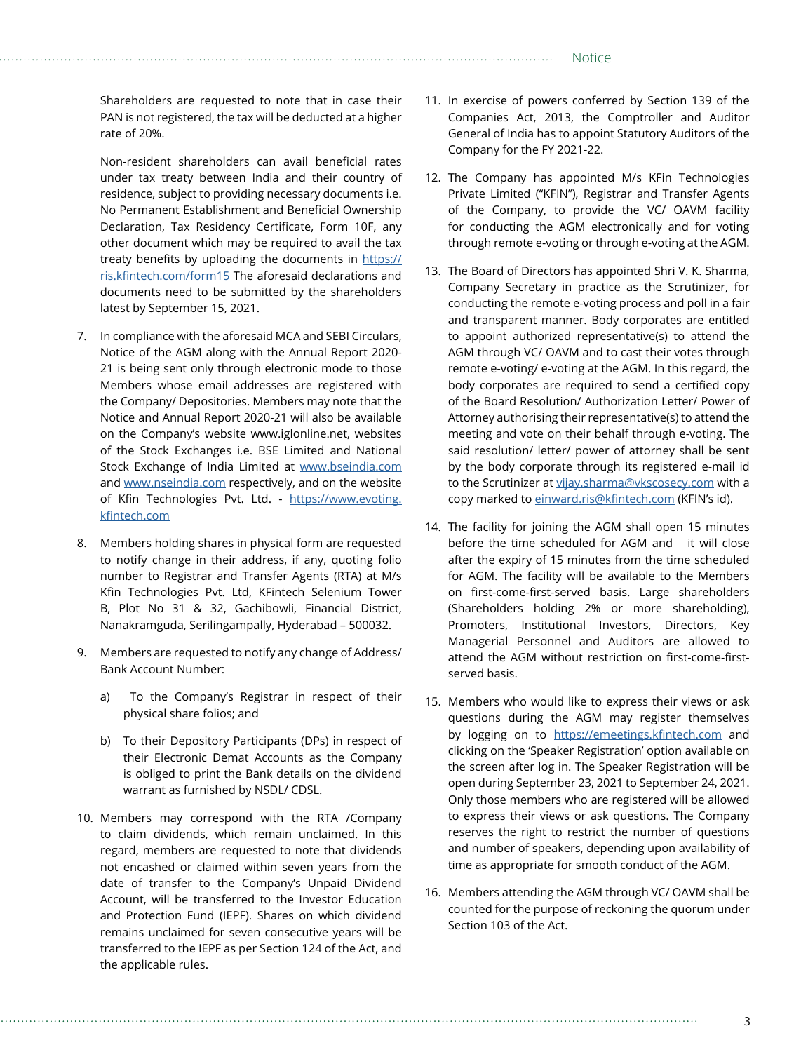Shareholders are requested to note that in case their PAN is not registered, the tax will be deducted at a higher rate of 20%.

Non-resident shareholders can avail beneficial rates under tax treaty between India and their country of residence, subject to providing necessary documents i.e. No Permanent Establishment and Beneficial Ownership Declaration, Tax Residency Certificate, Form 10F, any other document which may be required to avail the tax treaty benefits by uploading the documents in https:// ris.kfintech.com/form15 The aforesaid declarations and documents need to be submitted by the shareholders latest by September 15, 2021.

- 7. In compliance with the aforesaid MCA and SEBI Circulars, Notice of the AGM along with the Annual Report 2020- 21 is being sent only through electronic mode to those Members whose email addresses are registered with the Company/ Depositories. Members may note that the Notice and Annual Report 2020-21 will also be available on the Company's website www.iglonline.net, websites of the Stock Exchanges i.e. BSE Limited and National Stock Exchange of India Limited at [www.bseindia.com](http://www.bseindia.com) and [www.nseindia.com](http://www.nseindia.com) respectively, and on the website of Kfin Technologies Pvt. Ltd. - [https://www.evoting.](https://www.evoting.karvy.com) [kfintech.com](https://www.evoting.karvy.com)
- 8. Members holding shares in physical form are requested to notify change in their address, if any, quoting folio number to Registrar and Transfer Agents (RTA) at M/s Kfin Technologies Pvt. Ltd, KFintech Selenium Tower B, Plot No 31 & 32, Gachibowli, Financial District, Nanakramguda, Serilingampally, Hyderabad – 500032.
- 9. Members are requested to notify any change of Address/ Bank Account Number:
	- a) To the Company's Registrar in respect of their physical share folios; and
	- b) To their Depository Participants (DPs) in respect of their Electronic Demat Accounts as the Company is obliged to print the Bank details on the dividend warrant as furnished by NSDL/ CDSL.
- 10. Members may correspond with the RTA /Company to claim dividends, which remain unclaimed. In this regard, members are requested to note that dividends not encashed or claimed within seven years from the date of transfer to the Company's Unpaid Dividend Account, will be transferred to the Investor Education and Protection Fund (IEPF). Shares on which dividend remains unclaimed for seven consecutive years will be transferred to the IEPF as per Section 124 of the Act, and the applicable rules.
- 11. In exercise of powers conferred by Section 139 of the Companies Act, 2013, the Comptroller and Auditor General of India has to appoint Statutory Auditors of the Company for the FY 2021-22.
- 12. The Company has appointed M/s KFin Technologies Private Limited ("KFIN"), Registrar and Transfer Agents of the Company, to provide the VC/ OAVM facility for conducting the AGM electronically and for voting through remote e-voting or through e-voting at the AGM.
- 13. The Board of Directors has appointed Shri V. K. Sharma, Company Secretary in practice as the Scrutinizer, for conducting the remote e-voting process and poll in a fair and transparent manner. Body corporates are entitled to appoint authorized representative(s) to attend the AGM through VC/ OAVM and to cast their votes through remote e-voting/ e-voting at the AGM. In this regard, the body corporates are required to send a certified copy of the Board Resolution/ Authorization Letter/ Power of Attorney authorising their representative(s) to attend the meeting and vote on their behalf through e-voting. The said resolution/ letter/ power of attorney shall be sent by the body corporate through its registered e-mail id to the Scrutinizer at [vijay.sharma@vkscosecy.com](mailto:vijay.sharma@vkscosecy.com) with a copy marked to [einward.ris@kfintech.com](mailto:einward.ris@kfintech.com) (KFIN's id).
- 14. The facility for joining the AGM shall open 15 minutes before the time scheduled for AGM and it will close after the expiry of 15 minutes from the time scheduled for AGM. The facility will be available to the Members on first-come-first-served basis. Large shareholders (Shareholders holding 2% or more shareholding), Promoters, Institutional Investors, Directors, Key Managerial Personnel and Auditors are allowed to attend the AGM without restriction on first-come-firstserved basis.
- 15. Members who would like to express their views or ask questions during the AGM may register themselves by logging on to <https://emeetings.kfintech.com> and clicking on the 'Speaker Registration' option available on the screen after log in. The Speaker Registration will be open during September 23, 2021 to September 24, 2021. Only those members who are registered will be allowed to express their views or ask questions. The Company reserves the right to restrict the number of questions and number of speakers, depending upon availability of time as appropriate for smooth conduct of the AGM.
- 16. Members attending the AGM through VC/ OAVM shall be counted for the purpose of reckoning the quorum under Section 103 of the Act.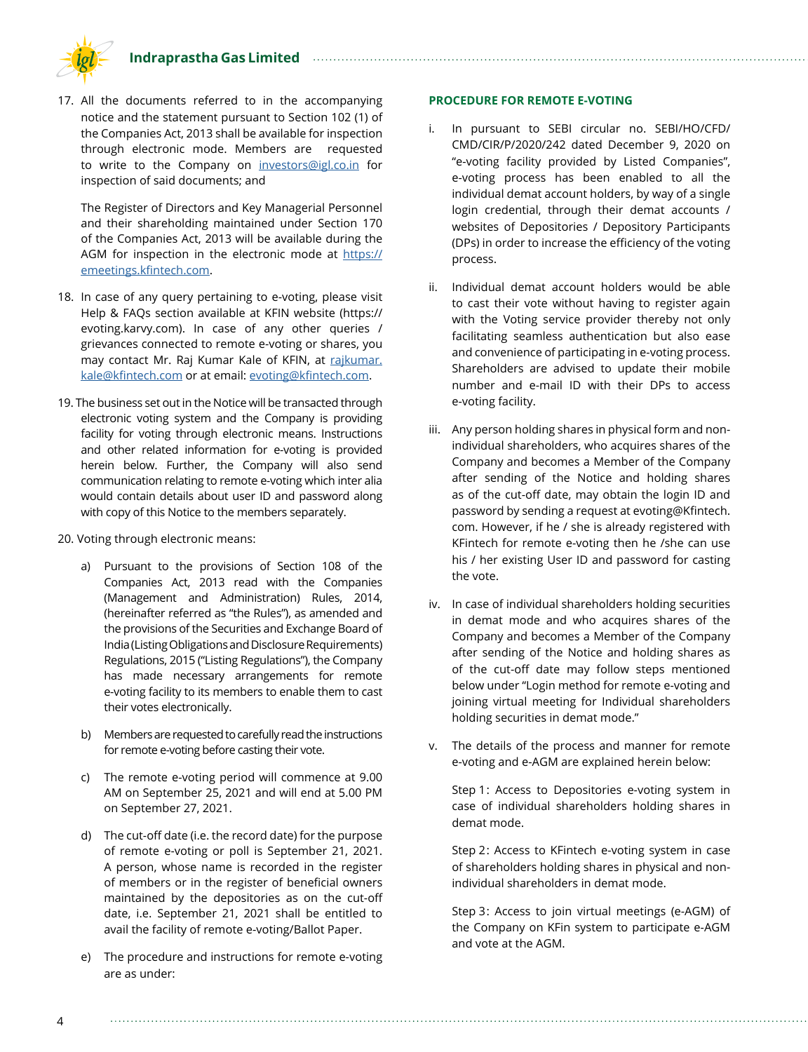**Indraprastha Gas Limited**



17. All the documents referred to in the accompanying notice and the statement pursuant to Section 102 (1) of the Companies Act, 2013 shall be available for inspection through electronic mode. Members are requested to write to the Company on [investors@igl.co.in](mailto:investors@igl.co.in) for inspection of said documents; and

The Register of Directors and Key Managerial Personnel and their shareholding maintained under Section 170 of the Companies Act, 2013 will be available during the AGM for inspection in the electronic mode at [https://](https:// emeetings.kfintech.com) [emeetings.kfintech.com](https:// emeetings.kfintech.com).

- 18. In case of any query pertaining to e-voting, please visit Help & FAQs section available at KFIN website (https:// evoting.karvy.com). In case of any other queries / grievances connected to remote e-voting or shares, you may contact Mr. Raj Kumar Kale of KFIN, at [rajkumar.](mailto:rajkumar.kale@kfintech.com) [kale@kfintech.com](mailto:rajkumar.kale@kfintech.com) or at email: [evoting@kfintech.com](mailto:evoting@kfintech.com).
- 19. The business set out in the Notice will be transacted through electronic voting system and the Company is providing facility for voting through electronic means. Instructions and other related information for e-voting is provided herein below. Further, the Company will also send communication relating to remote e-voting which inter alia would contain details about user ID and password along with copy of this Notice to the members separately.
- 20. Voting through electronic means:
	- a) Pursuant to the provisions of Section 108 of the Companies Act, 2013 read with the Companies (Management and Administration) Rules, 2014, (hereinafter referred as "the Rules"), as amended and the provisions of the Securities and Exchange Board of India (Listing Obligations and Disclosure Requirements) Regulations, 2015 ("Listing Regulations"), the Company has made necessary arrangements for remote e-voting facility to its members to enable them to cast their votes electronically.
	- b) Members are requested to carefully read the instructions for remote e-voting before casting their vote.
	- c) The remote e-voting period will commence at 9.00 AM on September 25, 2021 and will end at 5.00 PM on September 27, 2021.
	- d) The cut-off date (i.e. the record date) for the purpose of remote e-voting or poll is September 21, 2021. A person, whose name is recorded in the register of members or in the register of beneficial owners maintained by the depositories as on the cut-off date, i.e. September 21, 2021 shall be entitled to avail the facility of remote e-voting/Ballot Paper.
	- e) The procedure and instructions for remote e-voting are as under:

#### **PROCEDURE FOR REMOTE E-VOTING**

- i. In pursuant to SEBI circular no. SEBI/HO/CFD/ CMD/CIR/P/2020/242 dated December 9, 2020 on "e-voting facility provided by Listed Companies", e-voting process has been enabled to all the individual demat account holders, by way of a single login credential, through their demat accounts / websites of Depositories / Depository Participants (DPs) in order to increase the efficiency of the voting process.
- ii. Individual demat account holders would be able to cast their vote without having to register again with the Voting service provider thereby not only facilitating seamless authentication but also ease and convenience of participating in e-voting process. Shareholders are advised to update their mobile number and e-mail ID with their DPs to access e-voting facility.
- iii. Any person holding shares in physical form and nonindividual shareholders, who acquires shares of the Company and becomes a Member of the Company after sending of the Notice and holding shares as of the cut-off date, may obtain the login ID and password by sending a request at evoting@Kfintech. com. However, if he / she is already registered with KFintech for remote e-voting then he /she can use his / her existing User ID and password for casting the vote.
- iv. In case of individual shareholders holding securities in demat mode and who acquires shares of the Company and becomes a Member of the Company after sending of the Notice and holding shares as of the cut-off date may follow steps mentioned below under "Login method for remote e-voting and joining virtual meeting for Individual shareholders holding securities in demat mode."
- v. The details of the process and manner for remote e-voting and e-AGM are explained herein below:

Step 1: Access to Depositories e-voting system in case of individual shareholders holding shares in demat mode.

Step 2: Access to KFintech e-voting system in case of shareholders holding shares in physical and nonindividual shareholders in demat mode.

Step 3: Access to join virtual meetings (e-AGM) of the Company on KFin system to participate e-AGM and vote at the AGM.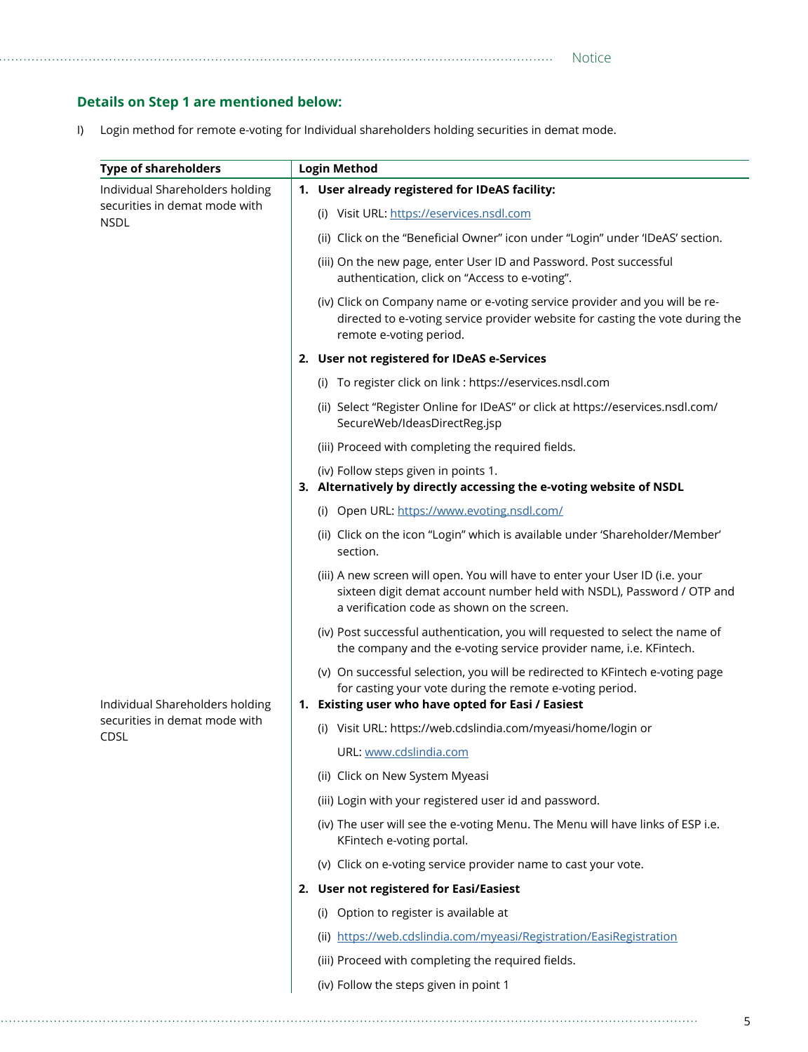## **Details on Step 1 are mentioned below:**

I) Login method for remote e-voting for Individual shareholders holding securities in demat mode.

| <b>Type of shareholders</b>                                                                                        | <b>Login Method</b>                                                                                                                                                                                   |  |  |  |
|--------------------------------------------------------------------------------------------------------------------|-------------------------------------------------------------------------------------------------------------------------------------------------------------------------------------------------------|--|--|--|
| Individual Shareholders holding<br>securities in demat mode with<br><b>NSDL</b><br>Individual Shareholders holding | 1. User already registered for IDeAS facility:                                                                                                                                                        |  |  |  |
|                                                                                                                    | (i) Visit URL: https://eservices.nsdl.com                                                                                                                                                             |  |  |  |
|                                                                                                                    | (ii) Click on the "Beneficial Owner" icon under "Login" under 'IDeAS' section.                                                                                                                        |  |  |  |
|                                                                                                                    | (iii) On the new page, enter User ID and Password. Post successful<br>authentication, click on "Access to e-voting".                                                                                  |  |  |  |
|                                                                                                                    | (iv) Click on Company name or e-voting service provider and you will be re-<br>directed to e-voting service provider website for casting the vote during the<br>remote e-voting period.               |  |  |  |
|                                                                                                                    | 2. User not registered for IDeAS e-Services                                                                                                                                                           |  |  |  |
|                                                                                                                    | (i) To register click on link : https://eservices.nsdl.com                                                                                                                                            |  |  |  |
|                                                                                                                    | (ii) Select "Register Online for IDeAS" or click at https://eservices.nsdl.com/<br>SecureWeb/IdeasDirectReg.jsp                                                                                       |  |  |  |
|                                                                                                                    | (iii) Proceed with completing the required fields.                                                                                                                                                    |  |  |  |
|                                                                                                                    | (iv) Follow steps given in points 1.<br>3. Alternatively by directly accessing the e-voting website of NSDL                                                                                           |  |  |  |
|                                                                                                                    | (i) Open URL: https://www.evoting.nsdl.com/                                                                                                                                                           |  |  |  |
|                                                                                                                    | (ii) Click on the icon "Login" which is available under 'Shareholder/Member'<br>section.                                                                                                              |  |  |  |
|                                                                                                                    | (iii) A new screen will open. You will have to enter your User ID (i.e. your<br>sixteen digit demat account number held with NSDL), Password / OTP and<br>a verification code as shown on the screen. |  |  |  |
|                                                                                                                    | (iv) Post successful authentication, you will requested to select the name of<br>the company and the e-voting service provider name, i.e. KFintech.                                                   |  |  |  |
|                                                                                                                    | (v) On successful selection, you will be redirected to KFintech e-voting page<br>for casting your vote during the remote e-voting period.<br>1. Existing user who have opted for Easi / Easiest       |  |  |  |
| securities in demat mode with                                                                                      | (i) Visit URL: https://web.cdslindia.com/myeasi/home/login or                                                                                                                                         |  |  |  |
| CDSL                                                                                                               | URL: www.cdslindia.com                                                                                                                                                                                |  |  |  |
|                                                                                                                    | (ii) Click on New System Myeasi                                                                                                                                                                       |  |  |  |
|                                                                                                                    | (iii) Login with your registered user id and password.                                                                                                                                                |  |  |  |
|                                                                                                                    | (iv) The user will see the e-voting Menu. The Menu will have links of ESP i.e.<br>KFintech e-voting portal.                                                                                           |  |  |  |
|                                                                                                                    | (v) Click on e-voting service provider name to cast your vote.                                                                                                                                        |  |  |  |
|                                                                                                                    | 2. User not registered for Easi/Easiest                                                                                                                                                               |  |  |  |
|                                                                                                                    | (i) Option to register is available at                                                                                                                                                                |  |  |  |
|                                                                                                                    | (ii) https://web.cdslindia.com/myeasi/Registration/EasiRegistration                                                                                                                                   |  |  |  |
|                                                                                                                    | (iii) Proceed with completing the required fields.                                                                                                                                                    |  |  |  |
|                                                                                                                    | (iv) Follow the steps given in point 1                                                                                                                                                                |  |  |  |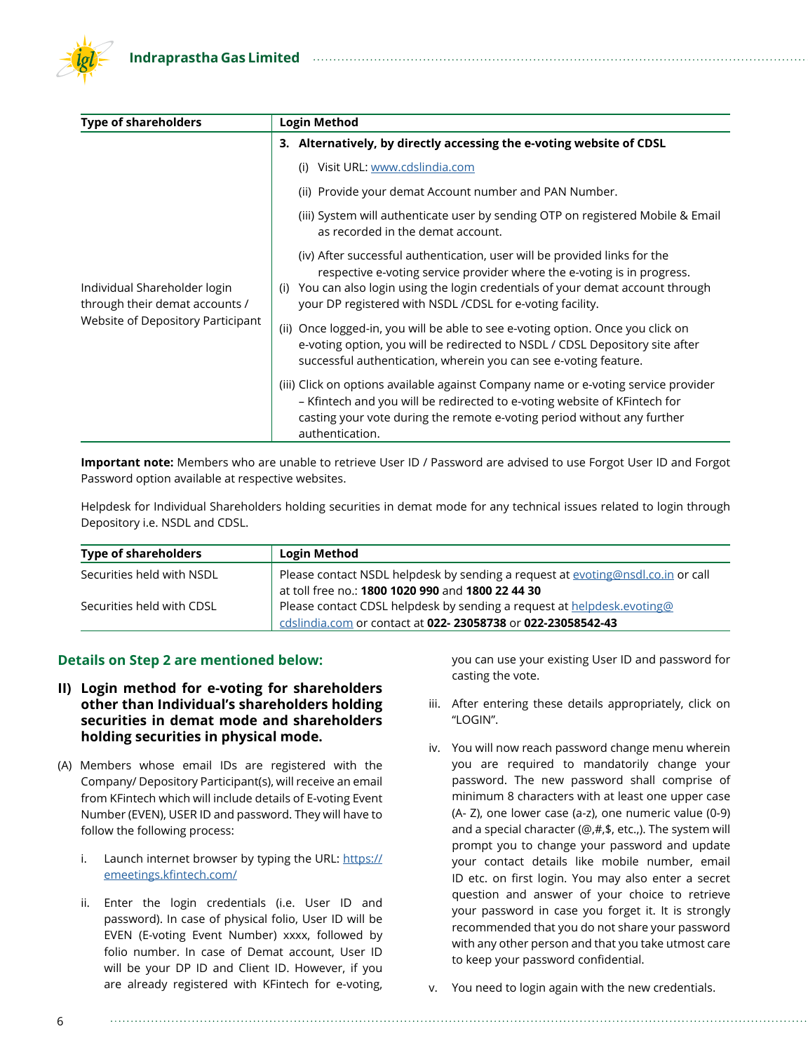| <b>Type of shareholders</b>                                    | Login Method                                                                                                                                                                                                                                                                                             |  |  |  |
|----------------------------------------------------------------|----------------------------------------------------------------------------------------------------------------------------------------------------------------------------------------------------------------------------------------------------------------------------------------------------------|--|--|--|
|                                                                | 3. Alternatively, by directly accessing the e-voting website of CDSL                                                                                                                                                                                                                                     |  |  |  |
|                                                                | Visit URL: www.cdslindia.com<br>(i)                                                                                                                                                                                                                                                                      |  |  |  |
|                                                                | (ii) Provide your demat Account number and PAN Number.                                                                                                                                                                                                                                                   |  |  |  |
|                                                                | (iii) System will authenticate user by sending OTP on registered Mobile & Email<br>as recorded in the demat account.                                                                                                                                                                                     |  |  |  |
| Individual Shareholder login<br>through their demat accounts / | (iv) After successful authentication, user will be provided links for the<br>respective e-voting service provider where the e-voting is in progress.<br>You can also login using the login credentials of your demat account through<br>(i)<br>your DP registered with NSDL /CDSL for e-voting facility. |  |  |  |
| Website of Depository Participant                              | (ii) Once logged-in, you will be able to see e-voting option. Once you click on<br>e-voting option, you will be redirected to NSDL / CDSL Depository site after<br>successful authentication, wherein you can see e-voting feature.                                                                      |  |  |  |
|                                                                | (iii) Click on options available against Company name or e-voting service provider<br>- Kfintech and you will be redirected to e-voting website of KFintech for<br>casting your vote during the remote e-voting period without any further<br>authentication.                                            |  |  |  |

**Important note:** Members who are unable to retrieve User ID / Password are advised to use Forgot User ID and Forgot Password option available at respective websites.

Helpdesk for Individual Shareholders holding securities in demat mode for any technical issues related to login through Depository i.e. NSDL and CDSL.

| <b>Type of shareholders</b> | <b>Login Method</b>                                                             |  |
|-----------------------------|---------------------------------------------------------------------------------|--|
| Securities held with NSDL   | Please contact NSDL helpdesk by sending a request at evoting@nsdl.co.in or call |  |
|                             | at toll free no.: 1800 1020 990 and 1800 22 44 30                               |  |
| Securities held with CDSL   | Please contact CDSL helpdesk by sending a request at helpdesk.evoting@          |  |
|                             | cdslindia.com or contact at 022-23058738 or 022-23058542-43                     |  |

#### **Details on Step 2 are mentioned below:**

- **II) Login method for e-voting for shareholders other than Individual's shareholders holding securities in demat mode and shareholders holding securities in physical mode.**
- (A) Members whose email IDs are registered with the Company/ Depository Participant(s), will receive an email from KFintech which will include details of E-voting Event Number (EVEN), USER ID and password. They will have to follow the following process:
	- i. Launch internet browser by typing the URL: [https://](https://emeetings.kfintech.com/) [emeetings.kfintech.com/](https://emeetings.kfintech.com/)
	- ii. Enter the login credentials (i.e. User ID and password). In case of physical folio, User ID will be EVEN (E-voting Event Number) xxxx, followed by folio number. In case of Demat account, User ID will be your DP ID and Client ID. However, if you are already registered with KFintech for e-voting,

you can use your existing User ID and password for casting the vote.

- iii. After entering these details appropriately, click on "LOGIN".
- iv. You will now reach password change menu wherein you are required to mandatorily change your password. The new password shall comprise of minimum 8 characters with at least one upper case (A- Z), one lower case (a-z), one numeric value (0-9) and a special character (@,#,\$, etc.,). The system will prompt you to change your password and update your contact details like mobile number, email ID etc. on first login. You may also enter a secret question and answer of your choice to retrieve your password in case you forget it. It is strongly recommended that you do not share your password with any other person and that you take utmost care to keep your password confidential.
- v. You need to login again with the new credentials.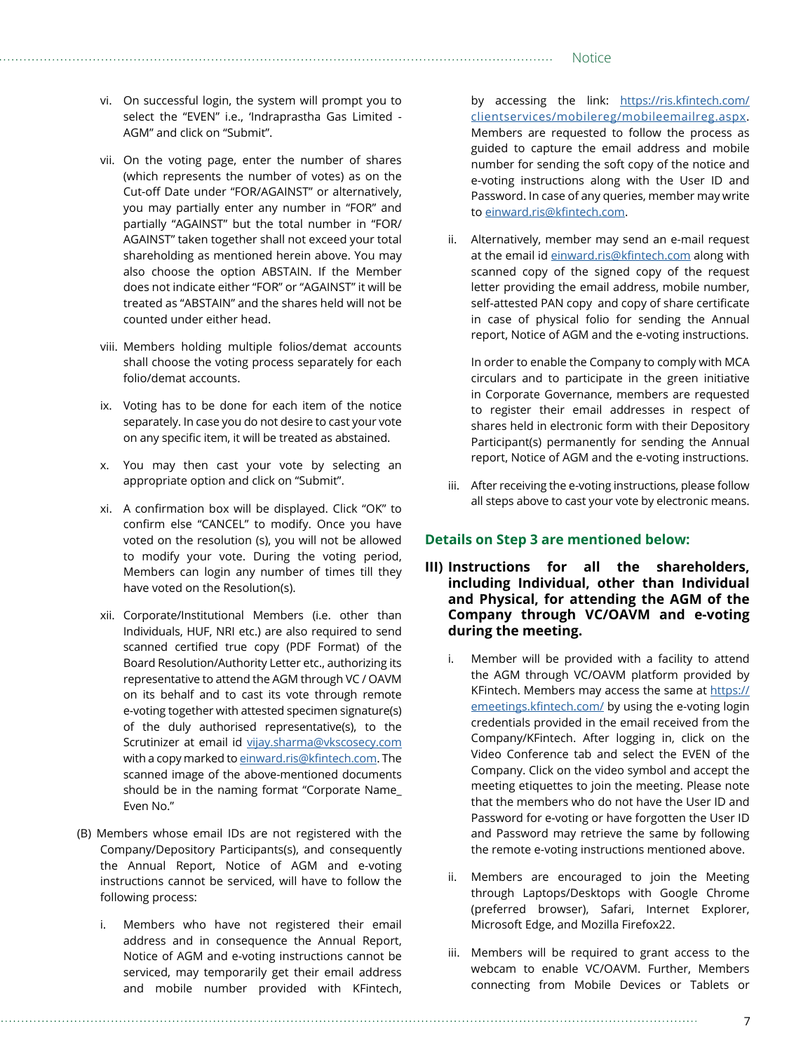- vi. On successful login, the system will prompt you to select the "EVEN" i.e., 'Indraprastha Gas Limited - AGM" and click on "Submit".
- vii. On the voting page, enter the number of shares (which represents the number of votes) as on the Cut-off Date under "FOR/AGAINST" or alternatively, you may partially enter any number in "FOR" and partially "AGAINST" but the total number in "FOR/ AGAINST" taken together shall not exceed your total shareholding as mentioned herein above. You may also choose the option ABSTAIN. If the Member does not indicate either "FOR" or "AGAINST" it will be treated as "ABSTAIN" and the shares held will not be counted under either head.
- viii. Members holding multiple folios/demat accounts shall choose the voting process separately for each folio/demat accounts.
- ix. Voting has to be done for each item of the notice separately. In case you do not desire to cast your vote on any specific item, it will be treated as abstained.
- x. You may then cast your vote by selecting an appropriate option and click on "Submit".
- xi. A confirmation box will be displayed. Click "OK" to confirm else "CANCEL" to modify. Once you have voted on the resolution (s), you will not be allowed to modify your vote. During the voting period, Members can login any number of times till they have voted on the Resolution(s).
- xii. Corporate/Institutional Members (i.e. other than Individuals, HUF, NRI etc.) are also required to send scanned certified true copy (PDF Format) of the Board Resolution/Authority Letter etc., authorizing its representative to attend the AGM through VC / OAVM on its behalf and to cast its vote through remote e-voting together with attested specimen signature(s) of the duly authorised representative(s), to the Scrutinizer at email id [vijay.sharma@vkscosecy.com](mailto:vijay.sharma@vkscosecy.com) with a copy marked to [einward.ris@kfintech.co](mailto:evoting@kfintech.co)m. The scanned image of the above-mentioned documents should be in the naming format "Corporate Name\_ Even No."
- (B) Members whose email IDs are not registered with the Company/Depository Participants(s), and consequently the Annual Report, Notice of AGM and e-voting instructions cannot be serviced, will have to follow the following process:
	- i. Members who have not registered their email address and in consequence the Annual Report, Notice of AGM and e-voting instructions cannot be serviced, may temporarily get their email address and mobile number provided with KFintech,

by accessing the link: [https://ris.kfintech.com/](https://ris.kfintech.com/clientservices/mobilereg/mobileemailreg.aspx) [clientservices/mobilereg/mobileemailreg.aspx](https://ris.kfintech.com/clientservices/mobilereg/mobileemailreg.aspx). Members are requested to follow the process as guided to capture the email address and mobile number for sending the soft copy of the notice and e-voting instructions along with the User ID and Password. In case of any queries, member may write to [einward.ris@kfintech.com](mailto:einward.ris@kfintech.com).

ii. Alternatively, member may send an e-mail request at the email id [einward.ris@kfintech.com](mailto:einward.ris@kfintech.com) along with scanned copy of the signed copy of the request letter providing the email address, mobile number, self-attested PAN copy and copy of share certificate in case of physical folio for sending the Annual report, Notice of AGM and the e-voting instructions.

In order to enable the Company to comply with MCA circulars and to participate in the green initiative in Corporate Governance, members are requested to register their email addresses in respect of shares held in electronic form with their Depository Participant(s) permanently for sending the Annual report, Notice of AGM and the e-voting instructions.

iii. After receiving the e-voting instructions, please follow all steps above to cast your vote by electronic means.

#### **Details on Step 3 are mentioned below:**

- **III) Instructions for all the shareholders, including Individual, other than Individual and Physical, for attending the AGM of the Company through VC/OAVM and e-voting during the meeting.** 
	- Member will be provided with a facility to attend the AGM through VC/OAVM platform provided by KFintech. Members may access the same at [https://](https://emeetings.kfintech.com/) [emeetings.kfintech.com/](https://emeetings.kfintech.com/) by using the e-voting login credentials provided in the email received from the Company/KFintech. After logging in, click on the Video Conference tab and select the EVEN of the Company. Click on the video symbol and accept the meeting etiquettes to join the meeting. Please note that the members who do not have the User ID and Password for e-voting or have forgotten the User ID and Password may retrieve the same by following the remote e-voting instructions mentioned above.
	- ii. Members are encouraged to join the Meeting through Laptops/Desktops with Google Chrome (preferred browser), Safari, Internet Explorer, Microsoft Edge, and Mozilla Firefox22.
	- iii. Members will be required to grant access to the webcam to enable VC/OAVM. Further, Members connecting from Mobile Devices or Tablets or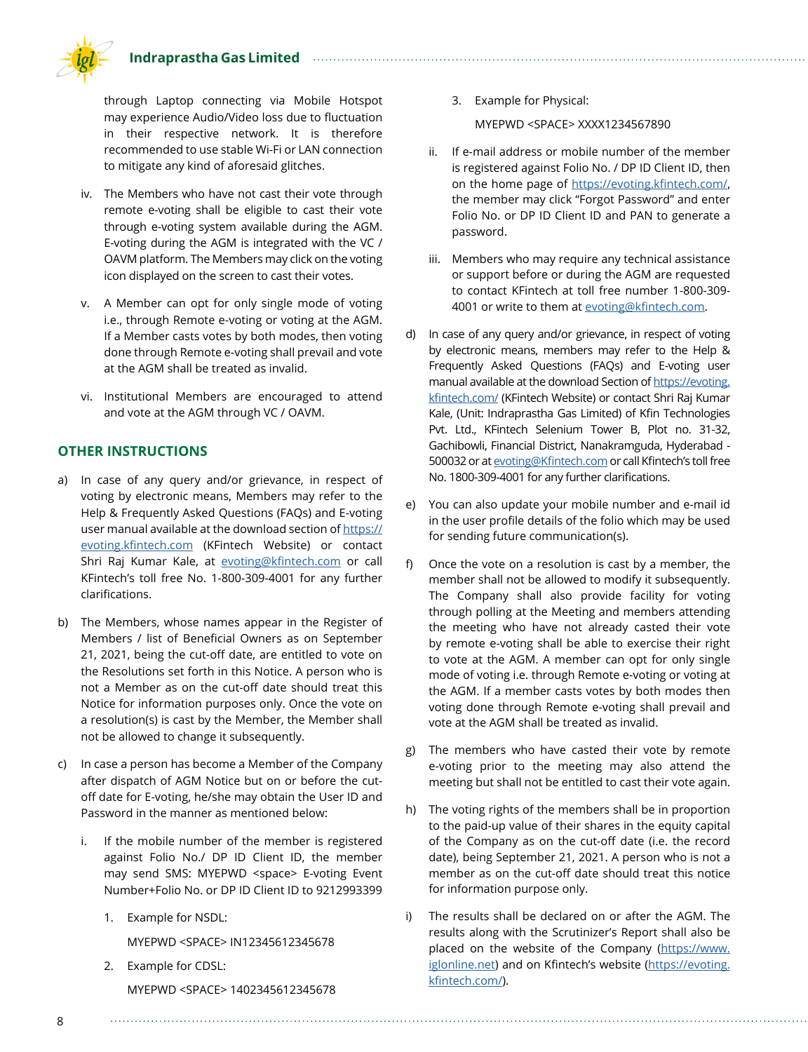**Indraprastha Gas Limited**



through Laptop connecting via Mobile Hotspot may experience Audio/Video loss due to fluctuation in their respective network. It is therefore recommended to use stable Wi-Fi or LAN connection to mitigate any kind of aforesaid glitches.

- iv. The Members who have not cast their vote through remote e-voting shall be eligible to cast their vote through e-voting system available during the AGM. E-voting during the AGM is integrated with the VC / OAVM platform. The Members may click on the voting icon displayed on the screen to cast their votes.
- v. A Member can opt for only single mode of voting i.e., through Remote e-voting or voting at the AGM. If a Member casts votes by both modes, then voting done through Remote e-voting shall prevail and vote at the AGM shall be treated as invalid.
- vi. Institutional Members are encouraged to attend and vote at the AGM through VC / OAVM.

#### **OTHER INSTRUCTIONS**

- a) In case of any query and/or grievance, in respect of voting by electronic means, Members may refer to the Help & Frequently Asked Questions (FAQs) and E-voting user manual available at the download section of [https://](https://evoting.kfintech.com) [evoting.kfintech.com](https://evoting.kfintech.com) (KFintech Website) or contact Shri Raj Kumar Kale, at [evoting@kfintech.com](mailto:evoting@kfintech.com) or call KFintech's toll free No. 1-800-309-4001 for any further clarifications.
- b) The Members, whose names appear in the Register of Members / list of Beneficial Owners as on September 21, 2021, being the cut-off date, are entitled to vote on the Resolutions set forth in this Notice. A person who is not a Member as on the cut-off date should treat this Notice for information purposes only. Once the vote on a resolution(s) is cast by the Member, the Member shall not be allowed to change it subsequently.
- c) In case a person has become a Member of the Company after dispatch of AGM Notice but on or before the cutoff date for E-voting, he/she may obtain the User ID and Password in the manner as mentioned below:
	- i. If the mobile number of the member is registered against Folio No./ DP ID Client ID, the member may send SMS: MYEPWD <space> E-voting Event Number+Folio No. or DP ID Client ID to 9212993399
		- 1. Example for NSDL:

MYEPWD <SPACE> IN12345612345678

2. Example for CDSL: MYEPWD <SPACE> 1402345612345678 3. Example for Physical:

MYEPWD <SPACE> XXXX1234567890

- ii. If e-mail address or mobile number of the member is registered against Folio No. / DP ID Client ID, then on the home page of <https://evoting.kfintech.com/>, the member may click "Forgot Password" and enter Folio No. or DP ID Client ID and PAN to generate a password.
- iii. Members who may require any technical assistance or support before or during the AGM are requested to contact KFintech at toll free number 1-800-309 4001 or write to them at [evoting@kfintech.com](mailto:evoting@kfintech.com).
- d) In case of any query and/or grievance, in respect of voting by electronic means, members may refer to the Help & Frequently Asked Questions (FAQs) and E-voting user manual available at the download Section of [https://evoting.](https://evoting.kfintech.com/) [kfintech.com/](https://evoting.kfintech.com/) (KFintech Website) or contact Shri Raj Kumar Kale, (Unit: Indraprastha Gas Limited) of Kfin Technologies Pvt. Ltd., KFintech Selenium Tower B, Plot no. 31-32, Gachibowli, Financial District, Nanakramguda, Hyderabad - 500032 or at [evoting@Kfintech.com](mailto:evoting@Kfintech.com) or call Kfintech's toll free No. 1800-309-4001 for any further clarifications.
- e) You can also update your mobile number and e-mail id in the user profile details of the folio which may be used for sending future communication(s).
- f) Once the vote on a resolution is cast by a member, the member shall not be allowed to modify it subsequently. The Company shall also provide facility for voting through polling at the Meeting and members attending the meeting who have not already casted their vote by remote e-voting shall be able to exercise their right to vote at the AGM. A member can opt for only single mode of voting i.e. through Remote e-voting or voting at the AGM. If a member casts votes by both modes then voting done through Remote e-voting shall prevail and vote at the AGM shall be treated as invalid.
- g) The members who have casted their vote by remote e-voting prior to the meeting may also attend the meeting but shall not be entitled to cast their vote again.
- h) The voting rights of the members shall be in proportion to the paid-up value of their shares in the equity capital of the Company as on the cut-off date (i.e. the record date), being September 21, 2021. A person who is not a member as on the cut-off date should treat this notice for information purpose only.
- i) The results shall be declared on or after the AGM. The results along with the Scrutinizer's Report shall also be placed on the website of the Company [\(https://www.](https://www.iglonline.net) [iglonline.net](https://www.iglonline.net)) and on Kfintech's website ([https://evoting.](https://evoting.kfintech.com/) [kfintech.com/\)](https://evoting.kfintech.com/).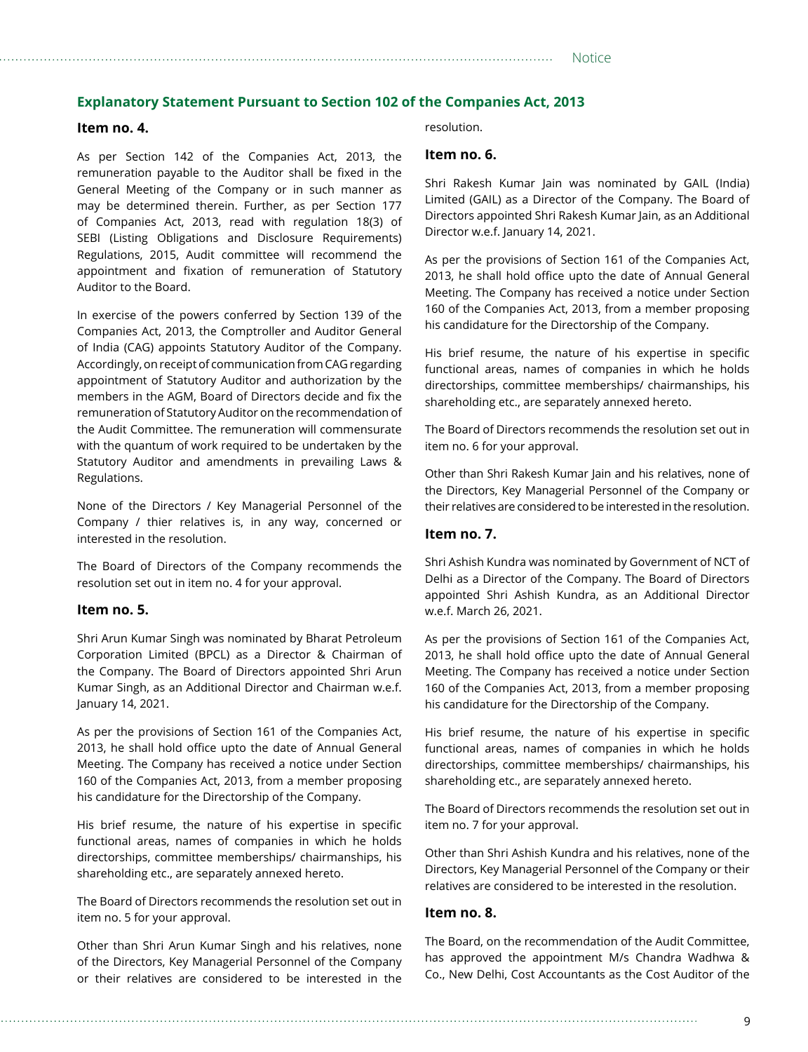#### **Explanatory Statement Pursuant to Section 102 of the Companies Act, 2013**

#### **Item no. 4.**

As per Section 142 of the Companies Act, 2013, the remuneration payable to the Auditor shall be fixed in the General Meeting of the Company or in such manner as may be determined therein. Further, as per Section 177 of Companies Act, 2013, read with regulation 18(3) of SEBI (Listing Obligations and Disclosure Requirements) Regulations, 2015, Audit committee will recommend the appointment and fixation of remuneration of Statutory Auditor to the Board.

In exercise of the powers conferred by Section 139 of the Companies Act, 2013, the Comptroller and Auditor General of India (CAG) appoints Statutory Auditor of the Company. Accordingly, on receipt of communication from CAG regarding appointment of Statutory Auditor and authorization by the members in the AGM, Board of Directors decide and fix the remuneration of Statutory Auditor on the recommendation of the Audit Committee. The remuneration will commensurate with the quantum of work required to be undertaken by the Statutory Auditor and amendments in prevailing Laws & Regulations.

None of the Directors / Key Managerial Personnel of the Company / thier relatives is, in any way, concerned or interested in the resolution.

The Board of Directors of the Company recommends the resolution set out in item no. 4 for your approval.

#### **Item no. 5.**

Shri Arun Kumar Singh was nominated by Bharat Petroleum Corporation Limited (BPCL) as a Director & Chairman of the Company. The Board of Directors appointed Shri Arun Kumar Singh, as an Additional Director and Chairman w.e.f. January 14, 2021.

As per the provisions of Section 161 of the Companies Act, 2013, he shall hold office upto the date of Annual General Meeting. The Company has received a notice under Section 160 of the Companies Act, 2013, from a member proposing his candidature for the Directorship of the Company.

His brief resume, the nature of his expertise in specific functional areas, names of companies in which he holds directorships, committee memberships/ chairmanships, his shareholding etc., are separately annexed hereto.

The Board of Directors recommends the resolution set out in item no. 5 for your approval.

Other than Shri Arun Kumar Singh and his relatives, none of the Directors, Key Managerial Personnel of the Company or their relatives are considered to be interested in the resolution.

#### **Item no. 6.**

Shri Rakesh Kumar Jain was nominated by GAIL (India) Limited (GAIL) as a Director of the Company. The Board of Directors appointed Shri Rakesh Kumar Jain, as an Additional Director w.e.f. January 14, 2021.

As per the provisions of Section 161 of the Companies Act, 2013, he shall hold office upto the date of Annual General Meeting. The Company has received a notice under Section 160 of the Companies Act, 2013, from a member proposing his candidature for the Directorship of the Company.

His brief resume, the nature of his expertise in specific functional areas, names of companies in which he holds directorships, committee memberships/ chairmanships, his shareholding etc., are separately annexed hereto.

The Board of Directors recommends the resolution set out in item no. 6 for your approval.

Other than Shri Rakesh Kumar Jain and his relatives, none of the Directors, Key Managerial Personnel of the Company or their relatives are considered to be interested in the resolution.

#### **Item no. 7.**

Shri Ashish Kundra was nominated by Government of NCT of Delhi as a Director of the Company. The Board of Directors appointed Shri Ashish Kundra, as an Additional Director w.e.f. March 26, 2021.

As per the provisions of Section 161 of the Companies Act, 2013, he shall hold office upto the date of Annual General Meeting. The Company has received a notice under Section 160 of the Companies Act, 2013, from a member proposing his candidature for the Directorship of the Company.

His brief resume, the nature of his expertise in specific functional areas, names of companies in which he holds directorships, committee memberships/ chairmanships, his shareholding etc., are separately annexed hereto.

The Board of Directors recommends the resolution set out in item no. 7 for your approval.

Other than Shri Ashish Kundra and his relatives, none of the Directors, Key Managerial Personnel of the Company or their relatives are considered to be interested in the resolution.

#### **Item no. 8.**

The Board, on the recommendation of the Audit Committee, has approved the appointment M/s Chandra Wadhwa & Co., New Delhi, Cost Accountants as the Cost Auditor of the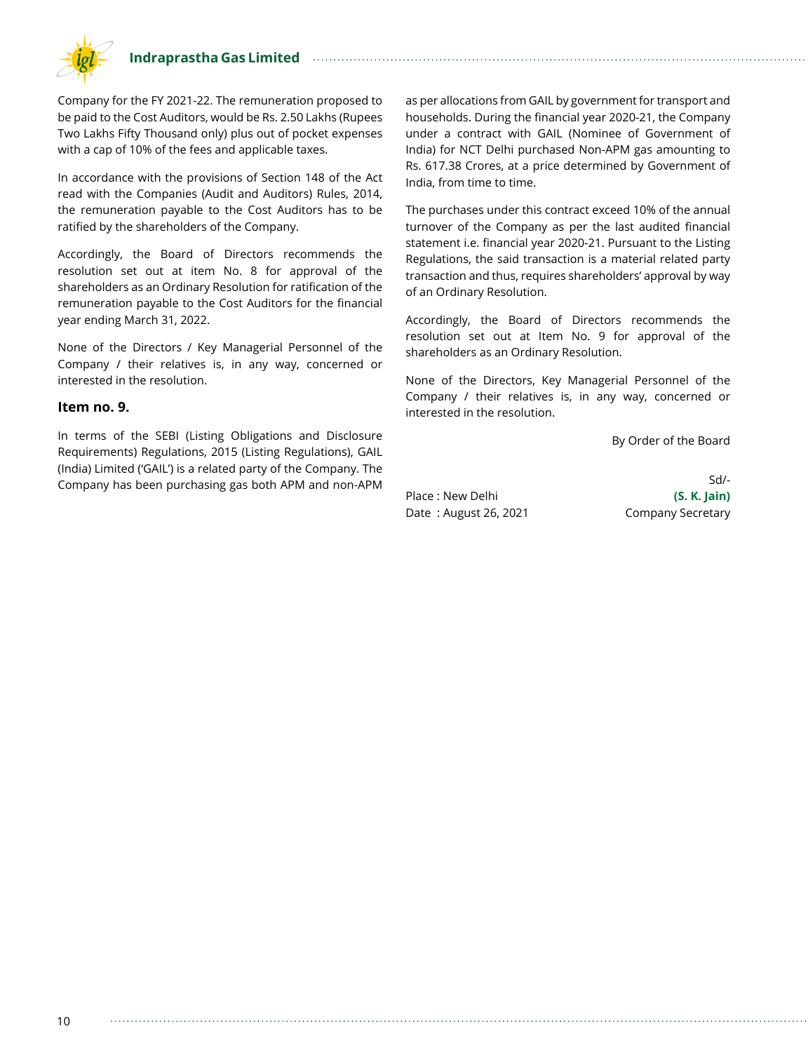

Company for the FY 2021-22. The remuneration proposed to be paid to the Cost Auditors, would be Rs. 2.50 Lakhs (Rupees Two Lakhs Fifty Thousand only) plus out of pocket expenses with a cap of 10% of the fees and applicable taxes.

In accordance with the provisions of Section 148 of the Act read with the Companies (Audit and Auditors) Rules, 2014, the remuneration payable to the Cost Auditors has to be ratified by the shareholders of the Company.

Accordingly, the Board of Directors recommends the resolution set out at item No. 8 for approval of the shareholders as an Ordinary Resolution for ratification of the remuneration payable to the Cost Auditors for the financial year ending March 31, 2022.

None of the Directors / Key Managerial Personnel of the Company / their relatives is, in any way, concerned or interested in the resolution.

#### **Item no. 9.**

In terms of the SEBI (Listing Obligations and Disclosure Requirements) Regulations, 2015 (Listing Regulations), GAIL (India) Limited ('GAIL') is a related party of the Company. The Company has been purchasing gas both APM and non-APM as per allocations from GAIL by government for transport and households. During the financial year 2020-21, the Company under a contract with GAIL (Nominee of Government of India) for NCT Delhi purchased Non-APM gas amounting to Rs. 617.38 Crores, at a price determined by Government of India, from time to time.

The purchases under this contract exceed 10% of the annual turnover of the Company as per the last audited financial statement i.e. financial year 2020-21. Pursuant to the Listing Regulations, the said transaction is a material related party transaction and thus, requires shareholders' approval by way of an Ordinary Resolution.

Accordingly, the Board of Directors recommends the resolution set out at Item No. 9 for approval of the shareholders as an Ordinary Resolution.

None of the Directors, Key Managerial Personnel of the Company / their relatives is, in any way, concerned or interested in the resolution.

By Order of the Board

Place : New Delhi **(S. K. Jain)**  Date: August 26, 2021 Company Secretary

Sd/-